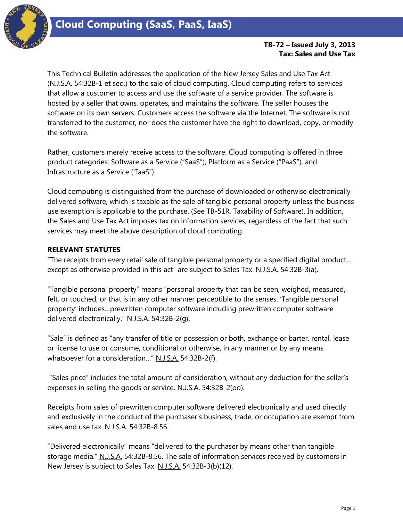

## **TB-72 – Issued July 3, 2013 Tax: Sales and Use Tax**

This Technical Bulletin addresses the application of the New Jersey Sales and Use Tax Act (N.J.S.A. 54:32B-1 et seq.) to the sale of cloud computing. Cloud computing refers to services that allow a customer to access and use the software of a service provider. The software is hosted by a seller that owns, operates, and maintains the software. The seller houses the software on its own servers. Customers access the software via the Internet. The software is not transferred to the customer, nor does the customer have the right to download, copy, or modify the software.

Rather, customers merely receive access to the software. Cloud computing is offered in three product categories: Software as a Service ("SaaS"), Platform as a Service ("PaaS"), and Infrastructure as a Service ("IaaS").

Cloud computing is distinguished from the purchase of downloaded or otherwise electronically delivered software, which is taxable as the sale of tangible personal property unless the business use exemption is applicable to the purchase. (See TB-51R, Taxability of Software). In addition, the Sales and Use Tax Act imposes tax on information services, regardless of the fact that such services may meet the above description of cloud computing.

### **RELEVANT STATUTES**

"The receipts from every retail sale of tangible personal property or a specified digital product… except as otherwise provided in this act" are subject to Sales Tax. N.J.S.A. 54:32B-3(a).

"Tangible personal property" means "personal property that can be seen, weighed, measured, felt, or touched, or that is in any other manner perceptible to the senses. 'Tangible personal property' includes…prewritten computer software including prewritten computer software delivered electronically." N.J.S.A. 54:32B-2(g).

"Sale" is defined as "any transfer of title or possession or both, exchange or barter, rental, lease or license to use or consume, conditional or otherwise, in any manner or by any means whatsoever for a consideration..." N.J.S.A. 54:32B-2(f).

"Sales price" includes the total amount of consideration, without any deduction for the seller's expenses in selling the goods or service. N.J.S.A. 54:32B-2(oo).

Receipts from sales of prewritten computer software delivered electronically and used directly and exclusively in the conduct of the purchaser's business, trade, or occupation are exempt from sales and use tax. N.J.S.A. 54:32B-8.56.

"Delivered electronically" means "delivered to the purchaser by means other than tangible storage media." N.J.S.A. 54:32B-8.56. The sale of information services received by customers in New Jersey is subject to Sales Tax. N.J.S.A. 54:32B-3(b)(12).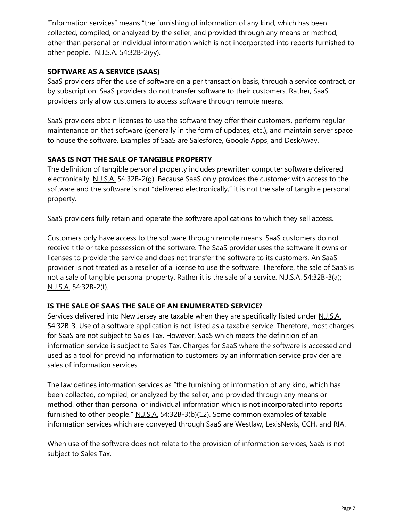"Information services" means "the furnishing of information of any kind, which has been collected, compiled, or analyzed by the seller, and provided through any means or method, other than personal or individual information which is not incorporated into reports furnished to other people." N.J.S.A. 54:32B-2(yy).

# **SOFTWARE AS A SERVICE (SAAS)**

SaaS providers offer the use of software on a per transaction basis, through a service contract, or by subscription. SaaS providers do not transfer software to their customers. Rather, SaaS providers only allow customers to access software through remote means.

SaaS providers obtain licenses to use the software they offer their customers, perform regular maintenance on that software (generally in the form of updates, etc.), and maintain server space to house the software. Examples of SaaS are Salesforce, Google Apps, and DeskAway.

## **SAAS IS NOT THE SALE OF TANGIBLE PROPERTY**

The definition of tangible personal property includes prewritten computer software delivered electronically. N.J.S.A. 54:32B-2(g). Because SaaS only provides the customer with access to the software and the software is not "delivered electronically," it is not the sale of tangible personal property.

SaaS providers fully retain and operate the software applications to which they sell access.

Customers only have access to the software through remote means. SaaS customers do not receive title or take possession of the software. The SaaS provider uses the software it owns or licenses to provide the service and does not transfer the software to its customers. An SaaS provider is not treated as a reseller of a license to use the software. Therefore, the sale of SaaS is not a sale of tangible personal property. Rather it is the sale of a service. N.J.S.A. 54:32B-3(a); N.J.S.A. 54:32B-2(f).

### **IS THE SALE OF SAAS THE SALE OF AN ENUMERATED SERVICE?**

Services delivered into New Jersey are taxable when they are specifically listed under N.J.S.A. 54:32B-3. Use of a software application is not listed as a taxable service. Therefore, most charges for SaaS are not subject to Sales Tax. However, SaaS which meets the definition of an information service is subject to Sales Tax. Charges for SaaS where the software is accessed and used as a tool for providing information to customers by an information service provider are sales of information services.

The law defines information services as "the furnishing of information of any kind, which has been collected, compiled, or analyzed by the seller, and provided through any means or method, other than personal or individual information which is not incorporated into reports furnished to other people." N.J.S.A. 54:32B-3(b)(12). Some common examples of taxable information services which are conveyed through SaaS are Westlaw, LexisNexis, CCH, and RIA.

When use of the software does not relate to the provision of information services, SaaS is not subject to Sales Tax.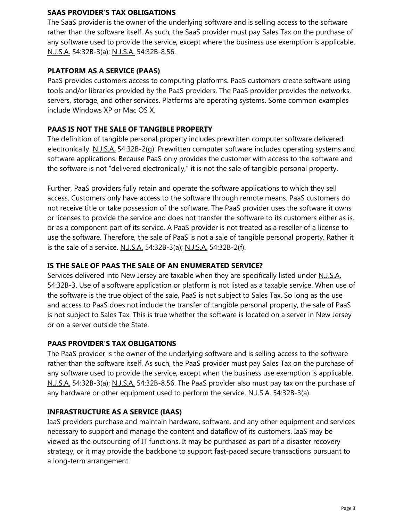### **SAAS PROVIDER'S TAX OBLIGATIONS**

The SaaS provider is the owner of the underlying software and is selling access to the software rather than the software itself. As such, the SaaS provider must pay Sales Tax on the purchase of any software used to provide the service, except where the business use exemption is applicable. N.J.S.A. 54:32B-3(a); N.J.S.A. 54:32B-8.56.

## **PLATFORM AS A SERVICE (PAAS)**

PaaS provides customers access to computing platforms. PaaS customers create software using tools and/or libraries provided by the PaaS providers. The PaaS provider provides the networks, servers, storage, and other services. Platforms are operating systems. Some common examples include Windows XP or Mac OS X.

# **PAAS IS NOT THE SALE OF TANGIBLE PROPERTY**

The definition of tangible personal property includes prewritten computer software delivered electronically. N.J.S.A. 54:32B-2(g). Prewritten computer software includes operating systems and software applications. Because PaaS only provides the customer with access to the software and the software is not "delivered electronically," it is not the sale of tangible personal property.

Further, PaaS providers fully retain and operate the software applications to which they sell access. Customers only have access to the software through remote means. PaaS customers do not receive title or take possession of the software. The PaaS provider uses the software it owns or licenses to provide the service and does not transfer the software to its customers either as is, or as a component part of its service. A PaaS provider is not treated as a reseller of a license to use the software. Therefore, the sale of PaaS is not a sale of tangible personal property. Rather it is the sale of a service. N.J.S.A. 54:32B-3(a); N.J.S.A. 54:32B-2(f).

### **IS THE SALE OF PAAS THE SALE OF AN ENUMERATED SERVICE?**

Services delivered into New Jersey are taxable when they are specifically listed under N.J.S.A. 54:32B-3. Use of a software application or platform is not listed as a taxable service. When use of the software is the true object of the sale, PaaS is not subject to Sales Tax. So long as the use and access to PaaS does not include the transfer of tangible personal property, the sale of PaaS is not subject to Sales Tax. This is true whether the software is located on a server in New Jersey or on a server outside the State.

### **PAAS PROVIDER'S TAX OBLIGATIONS**

The PaaS provider is the owner of the underlying software and is selling access to the software rather than the software itself. As such, the PaaS provider must pay Sales Tax on the purchase of any software used to provide the service, except when the business use exemption is applicable. N.J.S.A. 54:32B-3(a); N.J.S.A. 54:32B-8.56. The PaaS provider also must pay tax on the purchase of any hardware or other equipment used to perform the service. N.J.S.A. 54:32B-3(a).

### **INFRASTRUCTURE AS A SERVICE (IAAS)**

IaaS providers purchase and maintain hardware, software, and any other equipment and services necessary to support and manage the content and dataflow of its customers. IaaS may be viewed as the outsourcing of IT functions. It may be purchased as part of a disaster recovery strategy, or it may provide the backbone to support fast-paced secure transactions pursuant to a long-term arrangement.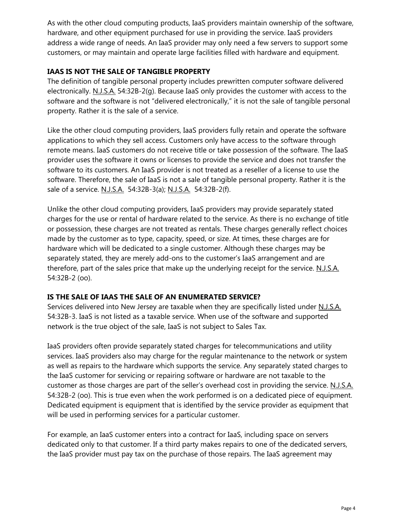As with the other cloud computing products, IaaS providers maintain ownership of the software, hardware, and other equipment purchased for use in providing the service. IaaS providers address a wide range of needs. An IaaS provider may only need a few servers to support some customers, or may maintain and operate large facilities filled with hardware and equipment.

## **IAAS IS NOT THE SALE OF TANGIBLE PROPERTY**

The definition of tangible personal property includes prewritten computer software delivered electronically. N.J.S.A. 54:32B-2(g). Because IaaS only provides the customer with access to the software and the software is not "delivered electronically," it is not the sale of tangible personal property. Rather it is the sale of a service.

Like the other cloud computing providers, IaaS providers fully retain and operate the software applications to which they sell access. Customers only have access to the software through remote means. IaaS customers do not receive title or take possession of the software. The IaaS provider uses the software it owns or licenses to provide the service and does not transfer the software to its customers. An IaaS provider is not treated as a reseller of a license to use the software. Therefore, the sale of IaaS is not a sale of tangible personal property. Rather it is the sale of a service. N.J.S.A. 54:32B-3(a); N.J.S.A. 54:32B-2(f).

Unlike the other cloud computing providers, IaaS providers may provide separately stated charges for the use or rental of hardware related to the service. As there is no exchange of title or possession, these charges are not treated as rentals. These charges generally reflect choices made by the customer as to type, capacity, speed, or size. At times, these charges are for hardware which will be dedicated to a single customer. Although these charges may be separately stated, they are merely add-ons to the customer's IaaS arrangement and are therefore, part of the sales price that make up the underlying receipt for the service. N.J.S.A. 54:32B-2 (oo).

### **IS THE SALE OF IAAS THE SALE OF AN ENUMERATED SERVICE?**

Services delivered into New Jersey are taxable when they are specifically listed under N.J.S.A. 54:32B-3. IaaS is not listed as a taxable service. When use of the software and supported network is the true object of the sale, IaaS is not subject to Sales Tax.

IaaS providers often provide separately stated charges for telecommunications and utility services. IaaS providers also may charge for the regular maintenance to the network or system as well as repairs to the hardware which supports the service. Any separately stated charges to the IaaS customer for servicing or repairing software or hardware are not taxable to the customer as those charges are part of the seller's overhead cost in providing the service. N.J.S.A. 54:32B-2 (oo). This is true even when the work performed is on a dedicated piece of equipment. Dedicated equipment is equipment that is identified by the service provider as equipment that will be used in performing services for a particular customer.

For example, an IaaS customer enters into a contract for IaaS, including space on servers dedicated only to that customer. If a third party makes repairs to one of the dedicated servers, the IaaS provider must pay tax on the purchase of those repairs. The IaaS agreement may